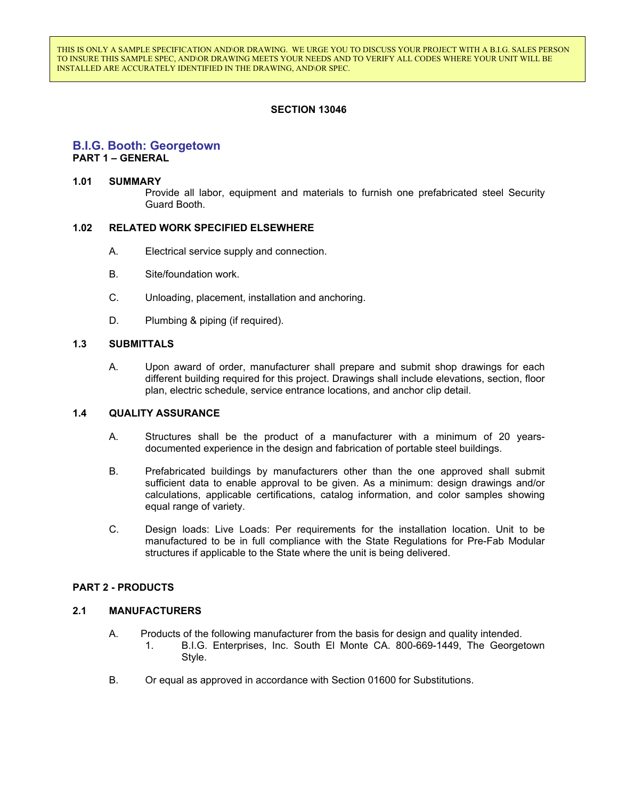THIS IS ONLY A SAMPLE SPECIFICATION AND\OR DRAWING. WE URGE YOU TO DISCUSS YOUR PROJECT WITH A B.I.G. SALES PERSON TO INSURE THIS SAMPLE SPEC, AND\OR DRAWING MEETS YOUR NEEDS AND TO VERIFY ALL CODES WHERE YOUR UNIT WILL BE INSTALLED ARE ACCURATELY IDENTIFIED IN THE DRAWING, AND\OR SPEC.

## **SECTION 13046**

## **B.I.G. Booth: Georgetown**

**PART 1 – GENERAL**

#### **1.01 SUMMARY**

Provide all labor, equipment and materials to furnish one prefabricated steel Security Guard Booth.

#### **1.02 RELATED WORK SPECIFIED ELSEWHERE**

- A. Electrical service supply and connection.
- B. Site/foundation work.
- C. Unloading, placement, installation and anchoring.
- D. Plumbing & piping (if required).

#### **1.3 SUBMITTALS**

A. Upon award of order, manufacturer shall prepare and submit shop drawings for each different building required for this project. Drawings shall include elevations, section, floor plan, electric schedule, service entrance locations, and anchor clip detail.

#### **1.4 QUALITY ASSURANCE**

- A. Structures shall be the product of a manufacturer with a minimum of 20 yearsdocumented experience in the design and fabrication of portable steel buildings.
- B. Prefabricated buildings by manufacturers other than the one approved shall submit sufficient data to enable approval to be given. As a minimum: design drawings and/or calculations, applicable certifications, catalog information, and color samples showing equal range of variety.
- C. Design loads: Live Loads: Per requirements for the installation location. Unit to be manufactured to be in full compliance with the State Regulations for Pre-Fab Modular structures if applicable to the State where the unit is being delivered.

#### **PART 2 - PRODUCTS**

### **2.1 MANUFACTURERS**

- A. Products of the following manufacturer from the basis for design and quality intended. 1. B.I.G. Enterprises, Inc. South El Monte CA. 800-669-1449, The Georgetown Style.
- B. Or equal as approved in accordance with Section 01600 for Substitutions.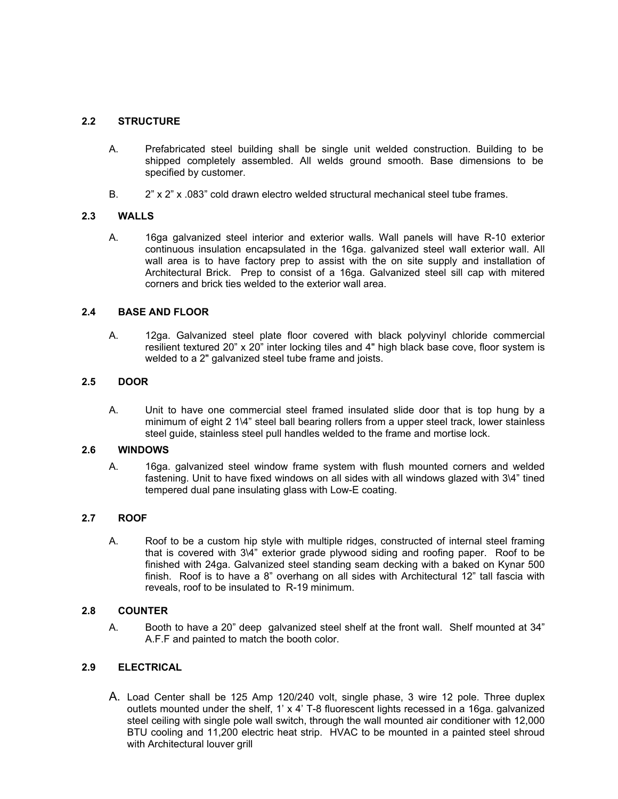# **2.2 STRUCTURE**

- A. Prefabricated steel building shall be single unit welded construction. Building to be shipped completely assembled. All welds ground smooth. Base dimensions to be specified by customer.
- B. 2" x 2" x .083" cold drawn electro welded structural mechanical steel tube frames.

## **2.3 WALLS**

A. 16ga galvanized steel interior and exterior walls. Wall panels will have R-10 exterior continuous insulation encapsulated in the 16ga. galvanized steel wall exterior wall. All wall area is to have factory prep to assist with the on site supply and installation of Architectural Brick. Prep to consist of a 16ga. Galvanized steel sill cap with mitered corners and brick ties welded to the exterior wall area.

## **2.4 BASE AND FLOOR**

A. 12ga. Galvanized steel plate floor covered with black polyvinyl chloride commercial resilient textured 20" x 20" inter locking tiles and 4" high black base cove, floor system is welded to a 2" galvanized steel tube frame and joists.

## **2.5 DOOR**

A. Unit to have one commercial steel framed insulated slide door that is top hung by a minimum of eight 2 1\4" steel ball bearing rollers from a upper steel track, lower stainless steel guide, stainless steel pull handles welded to the frame and mortise lock.

### **2.6 WINDOWS**

A. 16ga. galvanized steel window frame system with flush mounted corners and welded fastening. Unit to have fixed windows on all sides with all windows glazed with 3\4" tined tempered dual pane insulating glass with Low-E coating.

#### **2.7 ROOF**

A. Roof to be a custom hip style with multiple ridges, constructed of internal steel framing that is covered with 3\4" exterior grade plywood siding and roofing paper. Roof to be finished with 24ga. Galvanized steel standing seam decking with a baked on Kynar 500 finish. Roof is to have a 8" overhang on all sides with Architectural 12" tall fascia with reveals, roof to be insulated to R-19 minimum.

### **2.8 COUNTER**

A. Booth to have a 20" deep galvanized steel shelf at the front wall. Shelf mounted at 34" A.F.F and painted to match the booth color.

# **2.9 ELECTRICAL**

A. Load Center shall be 125 Amp 120/240 volt, single phase, 3 wire 12 pole. Three duplex outlets mounted under the shelf, 1' x 4' T-8 fluorescent lights recessed in a 16ga. galvanized steel ceiling with single pole wall switch, through the wall mounted air conditioner with 12,000 BTU cooling and 11,200 electric heat strip. HVAC to be mounted in a painted steel shroud with Architectural louver grill